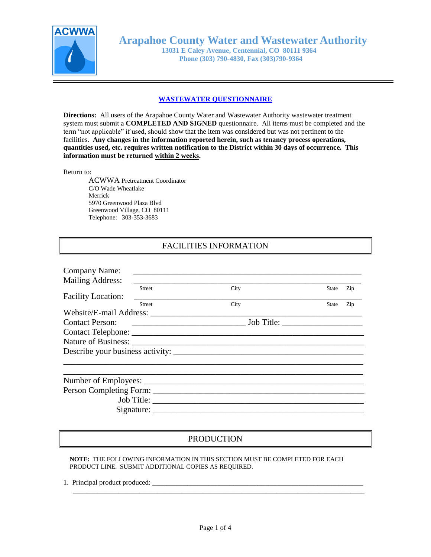

**Arapahoe County Water and Wastewater Authority**

 **13031 E Caley Avenue, Centennial, CO 80111 9364 Phone (303) 790-4830, Fax (303)790-9364**

# **WASTEWATER QUESTIONNAIRE**

**Directions:** All users of the Arapahoe County Water and Wastewater Authority wastewater treatment system must submit a **COMPLETED AND SIGNED** questionnaire. All items must be completed and the term "not applicable" if used, should show that the item was considered but was not pertinent to the facilities. **Any changes in the information reported herein, such as tenancy process operations, quantities used, etc. requires written notification to the District within 30 days of occurrence. This information must be returned within 2 weeks.**

# Return to:

ACWWA Pretreatment Coordinator C/O Wade Wheatlake Merrick 5970 Greenwood Plaza Blvd Greenwood Village, CO 80111 Telephone: 303-353-3683

# FACILITIES INFORMATION

| Company Name:             |               |                                                                                                                       |       |     |
|---------------------------|---------------|-----------------------------------------------------------------------------------------------------------------------|-------|-----|
| <b>Mailing Address:</b>   |               |                                                                                                                       |       |     |
|                           | <b>Street</b> | City                                                                                                                  | State | Zip |
| <b>Facility Location:</b> |               |                                                                                                                       |       |     |
|                           | <b>Street</b> | City                                                                                                                  | State | Zip |
|                           |               |                                                                                                                       |       |     |
| <b>Contact Person:</b>    |               | <u> 2000 - Jan James James James James James James James James James James James James James James James James Ja</u> |       |     |
|                           |               |                                                                                                                       |       |     |
|                           |               |                                                                                                                       |       |     |
|                           |               |                                                                                                                       |       |     |
|                           |               |                                                                                                                       |       |     |
|                           |               |                                                                                                                       |       |     |
|                           |               |                                                                                                                       |       |     |
|                           |               |                                                                                                                       |       |     |
|                           |               |                                                                                                                       |       |     |

# PRODUCTION

**NOTE:** THE FOLLOWING INFORMATION IN THIS SECTION MUST BE COMPLETED FOR EACH PRODUCT LINE. SUBMIT ADDITIONAL COPIES AS REQUIRED.

1. Principal product produced:

\_\_\_\_\_\_\_\_\_\_\_\_\_\_\_\_\_\_\_\_\_\_\_\_\_\_\_\_\_\_\_\_\_\_\_\_\_\_\_\_\_\_\_\_\_\_\_\_\_\_\_\_\_\_\_\_\_\_\_\_\_\_\_\_\_\_\_\_\_\_\_\_\_\_\_\_\_\_\_\_\_\_\_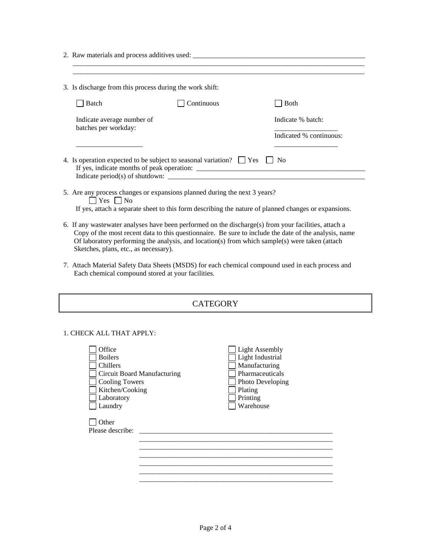2. Raw materials and process additives used:

Sketches, plans, etc., as necessary).

| 3. Is discharge from this process during the work shift: |                                                                                                                                                                                                        |                                                                                                       |  |
|----------------------------------------------------------|--------------------------------------------------------------------------------------------------------------------------------------------------------------------------------------------------------|-------------------------------------------------------------------------------------------------------|--|
| Batch                                                    | Continuous                                                                                                                                                                                             | <b>Both</b>                                                                                           |  |
| Indicate average number of<br>batches per workday:       |                                                                                                                                                                                                        | Indicate % batch:<br>Indicated % continuous:                                                          |  |
|                                                          | 4. Is operation expected to be subject to seasonal variation? $\Box$ Yes $\Box$<br>Indicate period(s) of shutdown:                                                                                     | N <sub>0</sub>                                                                                        |  |
| $\Box$ Yes $\Box$ No                                     | 5. Are any process changes or expansions planned during the next 3 years?                                                                                                                              | If yes, attach a separate sheet to this form describing the nature of planned changes or expansions.  |  |
|                                                          | 6. If any wastewater analyses have been performed on the discharge(s) from your facilities, attach a<br>Of laboratory performing the analysis, and location(s) from which sample(s) were taken (attach | Copy of the most recent data to this questionnaire. Be sure to include the date of the analysis, name |  |

7. Attach Material Safety Data Sheets (MSDS) for each chemical compound used in each process and Each chemical compound stored at your facilities.

| <b>CATEGORY</b>                                                                                                                                                                                   |                                                                                                                                       |  |  |
|---------------------------------------------------------------------------------------------------------------------------------------------------------------------------------------------------|---------------------------------------------------------------------------------------------------------------------------------------|--|--|
| 1. CHECK ALL THAT APPLY:<br>Office<br><b>Boilers</b><br>Chillers<br>Circuit Board Manufacturing<br><b>Cooling Towers</b><br>Kitchen/Cooking<br>Laboratory<br>Laundry<br>Other<br>Please describe: | <b>Light Assembly</b><br>Light Industrial<br>Manufacturing<br>Pharmaceuticals<br>Photo Developing<br>Plating<br>Printing<br>Warehouse |  |  |

\_\_\_\_\_\_\_\_\_\_\_\_\_\_\_\_\_\_\_\_\_\_\_\_\_\_\_\_\_\_\_\_\_\_\_\_\_\_\_\_\_\_\_\_\_\_\_\_\_\_\_\_\_\_\_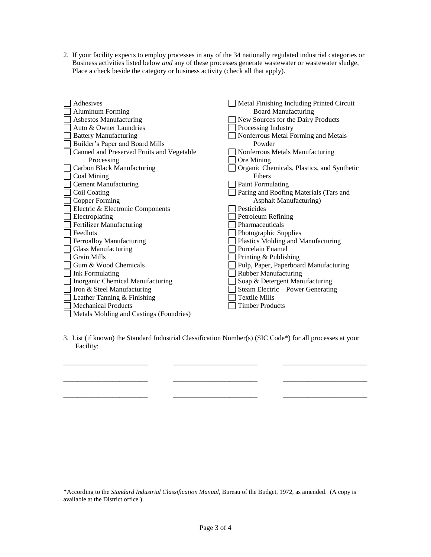2. If your facility expects to employ processes in any of the 34 nationally regulated industrial categories or Business activities listed below *and* any of these processes generate wastewater or wastewater sludge, Place a check beside the category or business activity (check all that apply).

| Adhesives                                 | Metal Finishing Including Printed Circuit  |
|-------------------------------------------|--------------------------------------------|
| <b>Aluminum Forming</b>                   | <b>Board Manufacturing</b>                 |
| <b>Asbestos Manufacturing</b>             | New Sources for the Dairy Products         |
| Auto & Owner Laundries                    | Processing Industry                        |
| <b>Battery Manufacturing</b>              | Nonferrous Metal Forming and Metals        |
| Builder's Paper and Board Mills           | Powder                                     |
| Canned and Preserved Fruits and Vegetable | Nonferrous Metals Manufacturing            |
| Processing                                | Ore Mining                                 |
| Carbon Black Manufacturing                | Organic Chemicals, Plastics, and Synthetic |
| Coal Mining                               | Fibers                                     |
| <b>Cement Manufacturing</b>               | <b>Paint Formulating</b>                   |
| Coil Coating                              | Paring and Roofing Materials (Tars and     |
| <b>Copper Forming</b>                     | Asphalt Manufacturing)                     |
| Electric & Electronic Components          | Pesticides                                 |
| Electroplating                            | Petroleum Refining                         |
| <b>Fertilizer Manufacturing</b>           | Pharmaceuticals                            |
| Feedlots                                  | Photographic Supplies                      |
| Ferroalloy Manufacturing                  | Plastics Molding and Manufacturing         |
| <b>Glass Manufacturing</b>                | Porcelain Enamel                           |
| <b>Grain Mills</b>                        | Printing & Publishing                      |
| Gum & Wood Chemicals                      | Pulp, Paper, Paperboard Manufacturing      |
| <b>Ink Formulating</b>                    | <b>Rubber Manufacturing</b>                |
| Inorganic Chemical Manufacturing          | Soap & Detergent Manufacturing             |
| Iron & Steel Manufacturing                | Steam Electric – Power Generating          |
| Leather Tanning & Finishing               | <b>Textile Mills</b>                       |
| <b>Mechanical Products</b>                | <b>Timber Products</b>                     |
| Metals Molding and Castings (Foundries)   |                                            |

3. List (if known) the Standard Industrial Classification Number(s) (SIC Code\*) for all processes at your Facility:

\_\_\_\_\_\_\_\_\_\_\_\_\_\_\_\_\_\_\_\_\_\_\_\_

 $\mathcal{L}=\mathcal{L}$ 

\_\_\_\_\_\_\_\_\_\_\_\_\_\_\_\_\_\_\_\_\_\_\_\_

\_\_\_\_\_\_\_\_\_\_\_\_\_\_\_\_\_\_\_\_\_\_\_\_

\_\_\_\_\_\_\_\_\_\_\_\_\_\_\_\_\_\_\_\_\_\_\_\_

\_\_\_\_\_\_\_\_\_\_\_\_\_\_\_\_\_\_\_\_\_\_\_\_

\_\_\_\_\_\_\_\_\_\_\_\_\_\_\_\_\_\_\_\_\_\_\_\_

\_\_\_\_\_\_\_\_\_\_\_\_\_\_\_\_\_\_\_\_\_\_\_\_

\*According to the *Standard Industrial Classification Manual,* Bureau of the Budget, 1972, as amended. (A copy is available at the District office.)